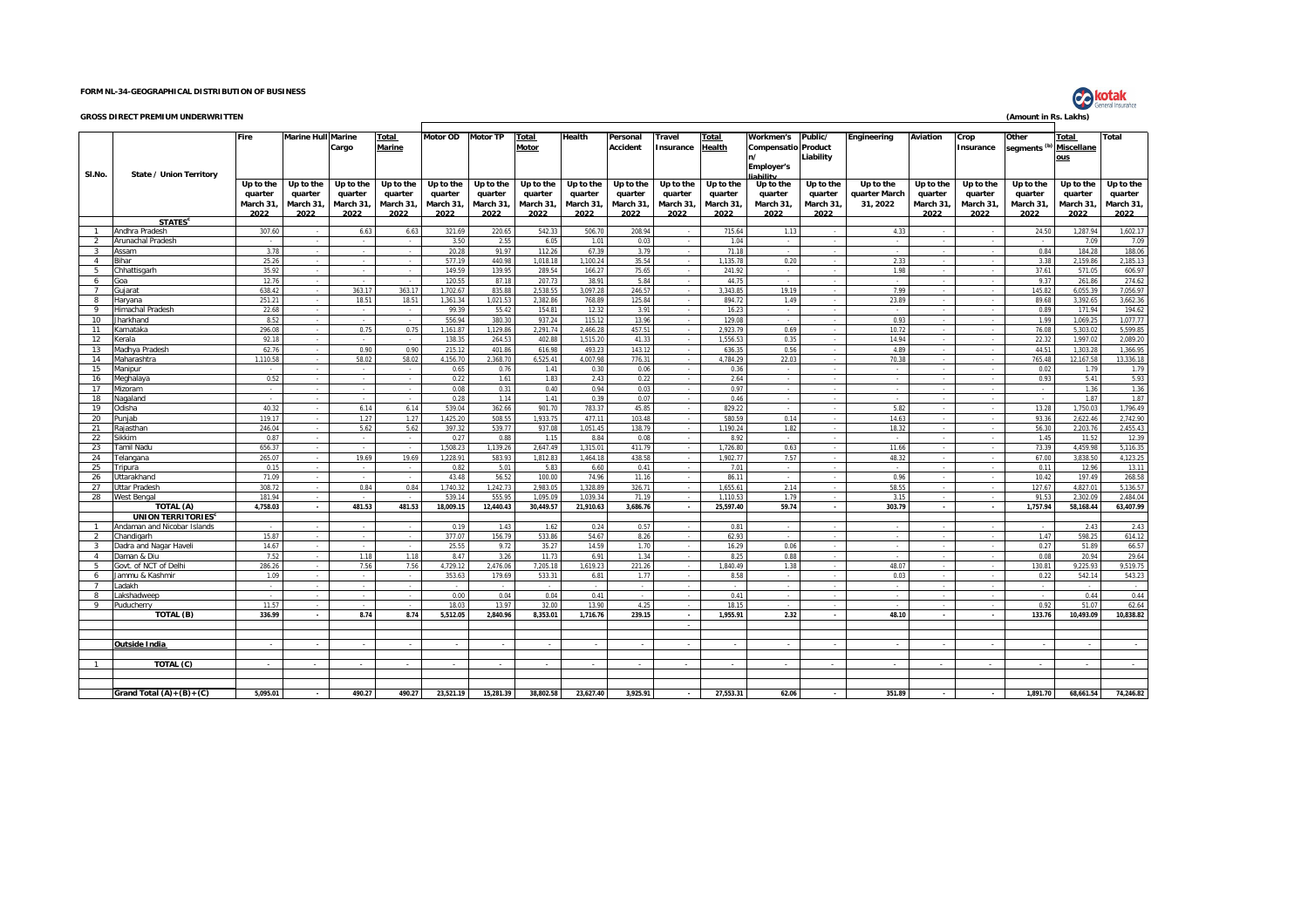## **FORM NL-34-GEOGRAPHICAL DISTRIBUTION OF BUSINESS**

|                                           | <b>GROSS DIRECT PREMIUM UNDERWRITTEN</b>    |                                          |                                          |                                          |                                           |                                           |                                           |                                           |                                           |                                           |                                          |                                          |                                                                         |                                          |                                        |                                          |                                           | (Amount in Rs. Lakhs)                       |                                          |                                           |
|-------------------------------------------|---------------------------------------------|------------------------------------------|------------------------------------------|------------------------------------------|-------------------------------------------|-------------------------------------------|-------------------------------------------|-------------------------------------------|-------------------------------------------|-------------------------------------------|------------------------------------------|------------------------------------------|-------------------------------------------------------------------------|------------------------------------------|----------------------------------------|------------------------------------------|-------------------------------------------|---------------------------------------------|------------------------------------------|-------------------------------------------|
| SI.No.                                    | State / Union Territory                     | Fire                                     | <b>Marine Hull Marine</b>                | Cargo                                    | Total<br>Marine                           | Motor OD                                  | Motor TP                                  | Total<br>Motor                            | Health                                    | Personal<br>Accident                      | Travel<br>nsurance                       | <b>Total</b><br>Health                   | Workmen's<br><b>Compensatio Product</b><br>n/<br>Employer's<br>iability | Public/<br>Liability                     | Engineering                            | Aviation                                 | Crop<br>Insurance                         | Other<br>segments <sup>(b)</sup> Miscellane | Total<br>ous                             | Total                                     |
|                                           |                                             | Up to the<br>quarter<br>March 31<br>2022 | Up to the<br>quarter<br>March 31<br>2022 | Up to the<br>quarter<br>March 31<br>2022 | Up to the<br>quarter<br>March 31,<br>2022 | Up to the<br>quarter<br>March 31,<br>2022 | Up to the<br>quarter<br>March 31,<br>2022 | Up to the<br>quarter<br>March 31,<br>2022 | Up to the<br>quarter<br>March 31,<br>2022 | Up to the<br>quarter<br>March 31,<br>2022 | Up to the<br>quarter<br>March 31<br>2022 | Up to the<br>quarter<br>March 31<br>2022 | Up to the<br>quarter<br>March 31,<br>2022                               | Up to the<br>quarter<br>March 31<br>2022 | Up to the<br>quarter March<br>31, 2022 | Up to the<br>quarter<br>March 31<br>2022 | Up to the<br>quarter<br>March 31,<br>2022 | Up to the<br>quarter<br>March 31,<br>2022   | Up to the<br>quarter<br>March 31<br>2022 | Up to the<br>quarter<br>March 31,<br>2022 |
|                                           | <b>STATES<sup>c</sup></b>                   |                                          |                                          |                                          |                                           |                                           |                                           |                                           |                                           |                                           |                                          |                                          |                                                                         |                                          |                                        |                                          |                                           |                                             |                                          |                                           |
| $\overline{1}$                            | Andhra Pradesh                              | 307.60                                   |                                          | 6.63                                     | 6.63                                      | 321.69                                    | 220.65                                    | 542.33                                    | 506.70                                    | 208.94                                    |                                          | 715.64                                   | 1.13                                                                    |                                          | 4.33                                   |                                          | $\sim$                                    | 24.50                                       | 1,287.94                                 | 1,602.17                                  |
| 2                                         | Arunachal Pradesh                           | $\sim$                                   |                                          | $\sim$                                   | <b>.</b>                                  | 3.50                                      | 2.55                                      | 6.05                                      | 1.01                                      | 0.03                                      |                                          | 1.04                                     |                                                                         |                                          | $\sim$                                 |                                          | $\sim$                                    |                                             | 7.09                                     | 7.09                                      |
| $\overline{3}$<br>$\overline{4}$          | Assam<br><b>Bihar</b>                       | 3.78<br>25.26                            |                                          |                                          |                                           | 20.28<br>577.19                           | 91.97<br>440.98                           | 112.26<br>1.018.18                        | 67.39<br>1.100.24                         | 3.79<br>35.54                             |                                          | 71.18<br>1.135.78                        | 0.20                                                                    |                                          | 2.33                                   |                                          |                                           | 0.84<br>3.38                                | 184.28<br>2.159.86                       | 188.06<br>2.185.13                        |
| $5 -$                                     | Chhattisgarh                                | 35.92                                    |                                          | $\sim$<br>$\sim$                         |                                           | 149.59                                    | 139.95                                    | 289.54                                    | 166.27                                    | 75.65                                     |                                          | 241.92                                   |                                                                         |                                          | 1.98                                   |                                          | $\sim$                                    | 37.61                                       | 571.05                                   | 606.97                                    |
| -6                                        | Goa                                         | 12.76                                    |                                          |                                          |                                           | 120.55                                    | 87.18                                     | 207.73                                    | 38.91                                     | 5.84                                      |                                          | 44.75                                    |                                                                         |                                          |                                        |                                          |                                           | 9.37                                        | 261.86                                   | 274.62                                    |
| $7^{\circ}$                               | Guiarat                                     | 638.42                                   |                                          | 363.17                                   | 363.17                                    | 1.702.67                                  | 835.88                                    | 2.538.55                                  | 3.097.28                                  | 246.57                                    |                                          | 3.343.85                                 | 19.19                                                                   |                                          | 7.99                                   |                                          |                                           | 145.82                                      | 6.055.39                                 | 7,056.97                                  |
| 8                                         | Harvana                                     | 251.21                                   |                                          | 18.51                                    | 18.51                                     | 1,361.34                                  | 1.021.53                                  | 2.382.86                                  | 768.89                                    | 125.84                                    |                                          | 894.72                                   | 1.49                                                                    |                                          | 23.89                                  |                                          |                                           | 89.68                                       | 3.392.65                                 | 3,662.36                                  |
| -9                                        | Himachal Pradesh                            | 22.68                                    |                                          | $\sim$                                   | $\sim$                                    | 99.39                                     | 55.42                                     | 154.81                                    | 12.32                                     | 3.91                                      |                                          | 16.23                                    |                                                                         |                                          | $\sim$                                 |                                          | $\sim$                                    | 0.89                                        | 171.94                                   | 194.62                                    |
| 10                                        | Jharkhand                                   | 8.52                                     |                                          | $\sim$                                   | $\sim$                                    | 556.94                                    | 380.30                                    | 937.24                                    | 115.12                                    | 13.96                                     |                                          | 129.08                                   |                                                                         |                                          | 0.93                                   |                                          | $\overline{\phantom{a}}$                  | 1.99                                        | 1,069.25                                 | 1,077.77                                  |
| 11                                        | Karnataka                                   | 296.08                                   |                                          | 0.75                                     | 0.75                                      | 1,161.87                                  | 1,129.86                                  | 2,291.74                                  | 2,466.28                                  | 457.51                                    |                                          | 2,923.79                                 | 0.69                                                                    |                                          | 10.72                                  |                                          | $\sim$                                    | 76.08                                       | 5,303.02                                 | 5,599.85                                  |
| 12                                        | Kerala                                      | 92.18                                    |                                          | $\sim$                                   |                                           | 138.35                                    | 264.53                                    | 402.88                                    | 1,515.20                                  | 41.33                                     |                                          | 1,556.53                                 | 0.35                                                                    |                                          | 14.94                                  |                                          | $\sim$                                    | 22.32                                       | 1.997.02                                 | 2,089.20                                  |
| 13<br>14                                  | Aadhva Pradesh<br><b>Aaharashtra</b>        | 62.76<br>1.110.58                        |                                          | 0.90<br>58.02                            | 0.90<br>58.02                             | 215.12<br>4.156.70                        | 401.86<br>2.368.70                        | 616.98<br>6.525.41                        | 493.23<br>4.007.98                        | 143.12<br>776.31                          |                                          | 636.35<br>4.784.29                       | 0.56<br>22.03                                                           |                                          | 4.89<br>70.38                          |                                          |                                           | 44.51<br>765.48                             | 1.303.28<br>12.167.58                    | 1.366.95<br>13.336.18                     |
| 15                                        | Manipur                                     |                                          |                                          |                                          |                                           | 0.65                                      | 0.76                                      | 1.41                                      | 0.30                                      | 0.06                                      |                                          | 0.36                                     |                                                                         |                                          |                                        |                                          |                                           | 0.02                                        | 1.79                                     | 1.79                                      |
| 16                                        | Aeghalaya                                   | 0.52                                     |                                          |                                          |                                           | 0.22                                      | 1.61                                      | 1.83                                      | 2.43                                      | 0.22                                      |                                          | 2.64                                     |                                                                         |                                          |                                        |                                          |                                           | 0.93                                        | 5.41                                     | 5.93                                      |
| 17                                        | <i>Aizoram</i>                              | ÷.                                       |                                          | $\sim$                                   | $\sim$                                    | 0.08                                      | 0.31                                      | 0.40                                      | 0.94                                      | 0.03                                      |                                          | 0.97                                     |                                                                         |                                          |                                        |                                          | $\sim$                                    |                                             | 1.36                                     | 1.36                                      |
| 18                                        | Jaqaland                                    |                                          |                                          |                                          |                                           | 0.28                                      | 1.14                                      | 1.41                                      | 0.39                                      | 0.07                                      |                                          | 0.46                                     |                                                                         |                                          |                                        |                                          | $\sim$                                    |                                             | 1.87                                     | 1.87                                      |
| 19                                        | <b>Odisha</b>                               | 40.32                                    |                                          | 6.14                                     | 6.14                                      | 539.04                                    | 362.66                                    | 901.70                                    | 783.37                                    | 45.85                                     |                                          | 829.22                                   |                                                                         |                                          | 5.82                                   |                                          | $\overline{a}$                            | 13.28                                       | 1.750.03                                 | 1,796.49                                  |
| 20                                        | Puniab                                      | 119.17                                   |                                          | 1.27                                     | 1.27                                      | 1,425.20                                  | 508.55                                    | 1,933.75                                  | 477.11                                    | 103.48                                    |                                          | 580.59                                   | 0.14                                                                    |                                          | 14.63                                  |                                          | $\sim$                                    | 93.36                                       | 2.622.46                                 | 2,742.90                                  |
| 21                                        | Raiasthan                                   | 246.04                                   | $\sim$                                   | 5.62                                     | 5.62                                      | 397.32                                    | 539.77                                    | 937.08                                    | 1,051.45                                  | 138.79                                    |                                          | 1.190.24                                 | 1.82                                                                    |                                          | 18.32                                  |                                          | $\sim$                                    | 56.30                                       | 2,203.76                                 | 2,455.43                                  |
| 22                                        | Sikkim                                      | 0.87                                     |                                          | $\sim$                                   |                                           | 0.27                                      | 0.88                                      | 1.15                                      | 8.84                                      | 0.08                                      |                                          | 8.92                                     |                                                                         |                                          | $\sim$                                 |                                          | $\sim$                                    | 1.45                                        | 11.52                                    | 12.39                                     |
| 23<br>24                                  | <b>Tamil Nadu</b>                           | 656.37                                   |                                          |                                          |                                           | 1,508.23                                  | 1,139.26                                  | 2,647.49                                  | 1,315.01                                  | 411.79<br>438.58                          |                                          | 1,726.80<br>1.902.77                     | 0.63                                                                    |                                          | 11.66<br>48.32                         |                                          |                                           | 73.39                                       | 4,459.98                                 | 5,116.35                                  |
| 25                                        | Telangana<br><b>Tripura</b>                 | 265.07<br>0.15                           |                                          | 19.69<br>$\sim$                          | 19.69<br>$\sim$                           | 1,228.91<br>0.82                          | 583.93<br>5.01                            | 1,812.83<br>5.83                          | 1,464.18<br>6.60                          | 0.41                                      |                                          | 7.01                                     | 7.57                                                                    |                                          |                                        |                                          |                                           | 67.00<br>0.11                               | 3.838.50<br>12.96                        | 4,123.25<br>13.11                         |
| 26                                        | <b>Ittarakhand</b>                          | 71.09                                    |                                          |                                          |                                           | 43.48                                     | 56.52                                     | 100.00                                    | 74.96                                     | 11.16                                     |                                          | 86.11                                    |                                                                         |                                          | 0.96                                   |                                          |                                           | 10.42                                       | 197.49                                   | 268.58                                    |
| 27                                        | <b>Jttar Pradesh</b>                        | 308.72                                   |                                          | 0.84                                     | 0.84                                      | 1.740.32                                  | 1.242.73                                  | 2.983.05                                  | 1.328.89                                  | 326.71                                    |                                          | 1.655.61                                 | 2.14                                                                    |                                          | 58.55                                  |                                          |                                           | 127.67                                      | 4.827.01                                 | 5.136.57                                  |
| 28                                        | West Bengal                                 | 181.94                                   |                                          |                                          |                                           | 539.14                                    | 555.95                                    | 1.095.09                                  | 1.039.34                                  | 71.19                                     |                                          | 1.110.53                                 | 1.79                                                                    |                                          | 3.15                                   |                                          |                                           | 91.53                                       | 2.302.09                                 | 2.484.04                                  |
|                                           | TOTAL (A)                                   | 4.758.03                                 | $\sim$                                   | 481.53                                   | 481.53                                    | 18,009.15                                 | 12,440.43                                 | 30,449.57                                 | 21,910.63                                 | 3.686.76                                  |                                          | 25,597.40                                | 59.74                                                                   |                                          | 303.79                                 | $\sim$                                   | $\sim$                                    | 1,757.94                                    | 58.168.44                                | 63,407.99                                 |
|                                           | UNION TERRITORIES <sup>c</sup>              |                                          |                                          |                                          |                                           |                                           |                                           |                                           |                                           |                                           |                                          |                                          |                                                                         |                                          |                                        |                                          |                                           |                                             |                                          |                                           |
| $\overline{1}$                            | Andaman and Nicobar Islands                 | $\sim$                                   |                                          |                                          |                                           | 0.19                                      | 1.43                                      | 1.62                                      | 0.24                                      | 0.57                                      |                                          | 0.81                                     |                                                                         |                                          |                                        |                                          |                                           |                                             | 2.43                                     | 2.43                                      |
| 2                                         | Chandigarh<br><b>Dadra and Nagar Haveli</b> | 15.87<br>14.67                           |                                          | $\sim$                                   |                                           | 377.07<br>25.55                           | 156.79<br>9.72                            | 533.86<br>35.27                           | 54.67<br>14.59                            | 8.26<br>1.70                              |                                          | 62.93<br>16.29                           |                                                                         |                                          |                                        |                                          |                                           | 1.47<br>0.27                                | 598.25<br>51.89                          | 614.12<br>66.57                           |
| $\overline{\mathbf{3}}$<br>$\overline{4}$ | Jaman & Diu                                 | 7.52                                     |                                          | 1.18                                     | 1.18                                      | 8.47                                      | 3.26                                      | 11.73                                     | 6.91                                      | 1.34                                      |                                          | 8.25                                     | 0.06<br>0.88                                                            |                                          |                                        |                                          |                                           | 0.08                                        | 20.94                                    | 29.64                                     |
| -5                                        | Govt. of NCT of Delhi                       | 286.26                                   |                                          | 7.56                                     | 7.56                                      | 4.729.12                                  | 2.476.06                                  | 7.205.18                                  | 1.619.23                                  | 221.26                                    |                                          | 1.840.49                                 | 1.38                                                                    |                                          | 48.07                                  |                                          |                                           | 130.81                                      | 9.225.93                                 | 9.519.75                                  |
| 6                                         | Jammu & Kashmir                             | 1.09                                     |                                          |                                          |                                           | 353.63                                    | 179.69                                    | 533.31                                    | 6.81                                      | 1.77                                      |                                          | 8.58                                     |                                                                         |                                          | 0.03                                   |                                          |                                           | 0.22                                        | 542.14                                   | 543.23                                    |
| 7                                         | adakh                                       |                                          |                                          |                                          |                                           |                                           |                                           |                                           |                                           |                                           |                                          |                                          |                                                                         |                                          |                                        |                                          |                                           |                                             |                                          | $\sim$                                    |
| 8                                         | akshadweep                                  |                                          |                                          |                                          |                                           | 0.00                                      | 0.04                                      | 0.04                                      | 0.41                                      |                                           |                                          | 0.41                                     |                                                                         |                                          |                                        |                                          |                                           |                                             | 0.44                                     | 0.44                                      |
| -9                                        | Puducherry                                  | 11.57                                    |                                          |                                          |                                           | 18.03                                     | 13.97                                     | 32.00                                     | 13.90                                     | 4.25                                      |                                          | 18.15                                    |                                                                         |                                          |                                        |                                          |                                           | 0.92                                        | 51.07                                    | 62.64                                     |
|                                           | TOTAL (B)                                   | 336.99                                   |                                          | 8.74                                     | 8.74                                      | 5,512.05                                  | 2,840.96                                  | 8,353.01                                  | 1,716.76                                  | 239.15                                    | $\cdot$                                  | 1,955.91                                 | 2.32                                                                    |                                          | 48.10                                  |                                          | $\cdot$                                   | 133.76                                      | 10.493.09                                | 10,838.82                                 |
|                                           |                                             |                                          |                                          |                                          |                                           |                                           |                                           |                                           |                                           |                                           |                                          |                                          |                                                                         |                                          |                                        |                                          |                                           |                                             |                                          |                                           |
|                                           |                                             |                                          |                                          |                                          |                                           |                                           |                                           |                                           |                                           |                                           |                                          |                                          |                                                                         |                                          |                                        |                                          |                                           |                                             |                                          |                                           |
|                                           | Outside India                               |                                          |                                          |                                          |                                           |                                           |                                           |                                           |                                           |                                           |                                          |                                          |                                                                         |                                          |                                        |                                          |                                           |                                             |                                          |                                           |
|                                           | TOTAL (C)                                   |                                          |                                          |                                          |                                           |                                           |                                           |                                           |                                           |                                           |                                          |                                          |                                                                         |                                          |                                        |                                          |                                           |                                             |                                          |                                           |
|                                           |                                             |                                          |                                          |                                          |                                           |                                           |                                           |                                           |                                           |                                           |                                          |                                          |                                                                         |                                          |                                        |                                          |                                           |                                             |                                          |                                           |
|                                           |                                             |                                          |                                          |                                          |                                           |                                           |                                           |                                           |                                           |                                           |                                          |                                          |                                                                         |                                          |                                        |                                          |                                           |                                             |                                          |                                           |
|                                           | Grand Total $(A)+(B)+(C)$                   | 5,095.01                                 |                                          | 490.27                                   | 490.27                                    | 23,521.19                                 | 15,281.39                                 | 38,802.58                                 | 23,627.40                                 | 3,925.91                                  |                                          | 27,553.31                                | 62.06                                                                   |                                          | 351.89                                 |                                          |                                           | 1,891.70                                    | 68,661.54                                | 74,246.82                                 |